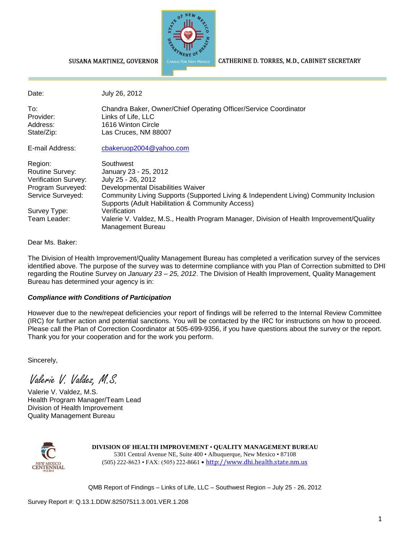

CATHERINE D. TORRES, M.D., CABINET SECRETARY

SUSANA MARTINEZ, GOVERNOR

| Date:                                                                                                                        | July 26, 2012                                                                                                                                                                                                                                                                                                                                                              |
|------------------------------------------------------------------------------------------------------------------------------|----------------------------------------------------------------------------------------------------------------------------------------------------------------------------------------------------------------------------------------------------------------------------------------------------------------------------------------------------------------------------|
| To:<br>Provider:<br>Address:<br>State/Zip:                                                                                   | Chandra Baker, Owner/Chief Operating Officer/Service Coordinator<br>Links of Life, LLC<br>1616 Winton Circle<br>Las Cruces, NM 88007                                                                                                                                                                                                                                       |
| E-mail Address:                                                                                                              | cbakeruop2004 $@$ yahoo.com                                                                                                                                                                                                                                                                                                                                                |
| Region:<br>Routine Survey:<br>Verification Survey:<br>Program Surveyed:<br>Service Surveyed:<br>Survey Type:<br>Team Leader: | Southwest<br>January 23 - 25, 2012<br>July 25 - 26, 2012<br>Developmental Disabilities Waiver<br>Community Living Supports (Supported Living & Independent Living) Community Inclusion<br>Supports (Adult Habilitation & Community Access)<br>Verification<br>Valerie V. Valdez, M.S., Health Program Manager, Division of Health Improvement/Quality<br>Management Bureau |

Dear Ms. Baker:

The Division of Health Improvement/Quality Management Bureau has completed a verification survey of the services identified above. The purpose of the survey was to determine compliance with you Plan of Correction submitted to DHI regarding the Routine Survey on *January 23 – 25, 2012*. The Division of Health Improvement, Quality Management Bureau has determined your agency is in:

#### *Compliance with Conditions of Participation*

However due to the new/repeat deficiencies your report of findings will be referred to the Internal Review Committee (IRC) for further action and potential sanctions. You will be contacted by the IRC for instructions on how to proceed. Please call the Plan of Correction Coordinator at 505-699-9356, if you have questions about the survey or the report. Thank you for your cooperation and for the work you perform.

Sincerely,

Valerie V. Valdez, M.S.

Valerie V. Valdez, M.S. Health Program Manager/Team Lead Division of Health Improvement Quality Management Bureau



**DIVISION OF HEALTH IMPROVEMENT** • **QUALITY MANAGEMENT BUREAU** 5301 Central Avenue NE, Suite 400 • Albuquerque, New Mexico • 87108 (505) 222-8623 • FAX: (505) 222-8661 • http://www.dhi.health.state.nm.us

QMB Report of Findings – Links of Life, LLC – Southwest Region – July 25 - 26, 2012

Survey Report #: Q.13.1.DDW.82507511.3.001.VER.1.208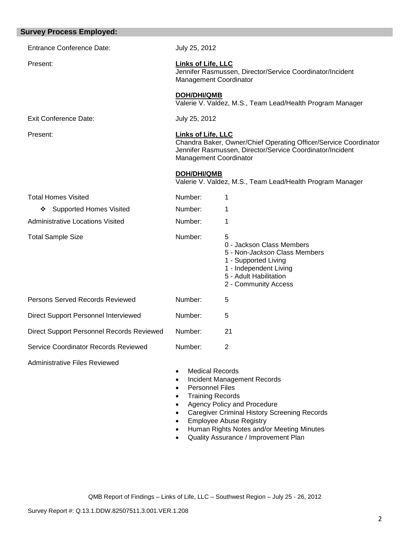| <b>Survey Process Employed:</b>           |                                                                                                                                              |                                                                                                                                                                     |  |
|-------------------------------------------|----------------------------------------------------------------------------------------------------------------------------------------------|---------------------------------------------------------------------------------------------------------------------------------------------------------------------|--|
| <b>Entrance Conference Date:</b>          | July 25, 2012                                                                                                                                |                                                                                                                                                                     |  |
| Present:                                  | Links of Life, LLC<br>Jennifer Rasmussen, Director/Service Coordinator/Incident<br><b>Management Coordinator</b>                             |                                                                                                                                                                     |  |
|                                           | <b>DOH/DHI/QMB</b>                                                                                                                           | Valerie V. Valdez, M.S., Team Lead/Health Program Manager                                                                                                           |  |
| <b>Exit Conference Date:</b>              | July 25, 2012                                                                                                                                |                                                                                                                                                                     |  |
| Present:                                  | <b>Links of Life, LLC</b><br><b>Management Coordinator</b>                                                                                   | Chandra Baker, Owner/Chief Operating Officer/Service Coordinator<br>Jennifer Rasmussen, Director/Service Coordinator/Incident                                       |  |
|                                           | <b>DOH/DHI/QMB</b>                                                                                                                           | Valerie V. Valdez, M.S., Team Lead/Health Program Manager                                                                                                           |  |
| <b>Total Homes Visited</b>                | Number:                                                                                                                                      | 1                                                                                                                                                                   |  |
| <b>Supported Homes Visited</b><br>❖       | Number:                                                                                                                                      | 1                                                                                                                                                                   |  |
| <b>Administrative Locations Visited</b>   | Number:                                                                                                                                      | 1                                                                                                                                                                   |  |
| <b>Total Sample Size</b>                  | Number:                                                                                                                                      | 5<br>0 - Jackson Class Members<br>5 - Non-Jackson Class Members<br>1 - Supported Living<br>1 - Independent Living<br>5 - Adult Habilitation<br>2 - Community Access |  |
| Persons Served Records Reviewed           | Number:                                                                                                                                      | 5                                                                                                                                                                   |  |
| Direct Support Personnel Interviewed      | Number:                                                                                                                                      | 5                                                                                                                                                                   |  |
| Direct Support Personnel Records Reviewed | Number:                                                                                                                                      | 21                                                                                                                                                                  |  |
| Service Coordinator Records Reviewed      | Number:                                                                                                                                      | $\overline{2}$                                                                                                                                                      |  |
| <b>Administrative Files Reviewed</b>      | <b>Medical Records</b><br>$\bullet$<br>$\bullet$<br><b>Personnel Files</b><br>$\bullet$<br><b>Training Records</b><br>$\bullet$<br>$\bullet$ | Incident Management Records<br>Agency Policy and Procedure<br><b>Caregiver Criminal History Screening Records</b><br><b>Employee Abuse Registry</b>                 |  |

- Human Rights Notes and/or Meeting Minutes
- Quality Assurance / Improvement Plan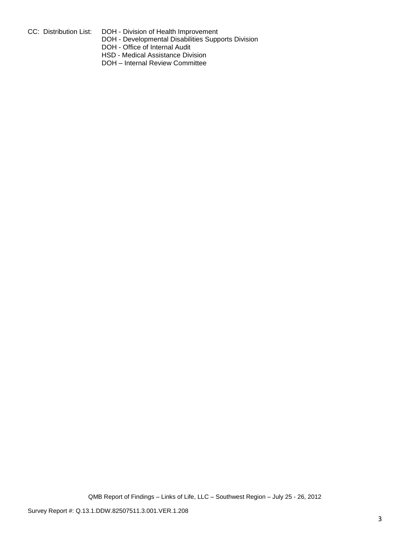- 
- CC: Distribution List: DOH Division of Health Improvement DOH - Developmental Disabilities Supports Division
	- DOH Office of Internal Audit
	- HSD Medical Assistance Division
	- DOH Internal Review Committee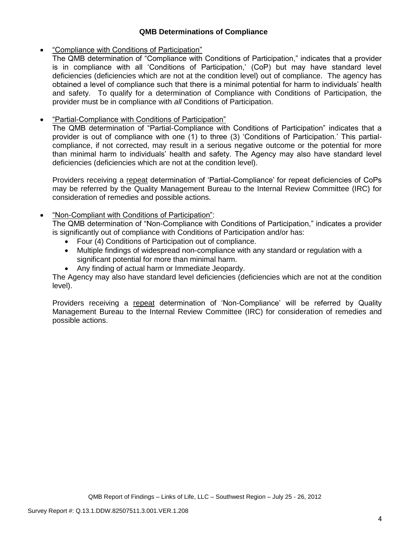### **QMB Determinations of Compliance**

### "Compliance with Conditions of Participation"

The QMB determination of "Compliance with Conditions of Participation," indicates that a provider is in compliance with all 'Conditions of Participation,' (CoP) but may have standard level deficiencies (deficiencies which are not at the condition level) out of compliance. The agency has obtained a level of compliance such that there is a minimal potential for harm to individuals' health and safety. To qualify for a determination of Compliance with Conditions of Participation, the provider must be in compliance with *all* Conditions of Participation.

# "Partial-Compliance with Conditions of Participation"

The QMB determination of "Partial-Compliance with Conditions of Participation" indicates that a provider is out of compliance with one (1) to three (3) 'Conditions of Participation.' This partialcompliance, if not corrected, may result in a serious negative outcome or the potential for more than minimal harm to individuals' health and safety. The Agency may also have standard level deficiencies (deficiencies which are not at the condition level).

Providers receiving a repeat determination of 'Partial-Compliance' for repeat deficiencies of CoPs may be referred by the Quality Management Bureau to the Internal Review Committee (IRC) for consideration of remedies and possible actions.

## "Non-Compliant with Conditions of Participation":

The QMB determination of "Non-Compliance with Conditions of Participation," indicates a provider is significantly out of compliance with Conditions of Participation and/or has:

- Four (4) Conditions of Participation out of compliance.
- Multiple findings of widespread non-compliance with any standard or regulation with a significant potential for more than minimal harm.
- Any finding of actual harm or Immediate Jeopardy.

The Agency may also have standard level deficiencies (deficiencies which are not at the condition level).

Providers receiving a repeat determination of 'Non-Compliance' will be referred by Quality Management Bureau to the Internal Review Committee (IRC) for consideration of remedies and possible actions.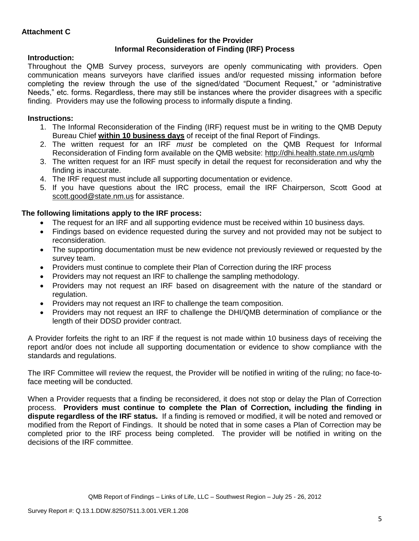#### **Guidelines for the Provider Informal Reconsideration of Finding (IRF) Process**

## **Introduction:**

Throughout the QMB Survey process, surveyors are openly communicating with providers. Open communication means surveyors have clarified issues and/or requested missing information before completing the review through the use of the signed/dated "Document Request," or "administrative Needs," etc. forms. Regardless, there may still be instances where the provider disagrees with a specific finding. Providers may use the following process to informally dispute a finding.

# **Instructions:**

- 1. The Informal Reconsideration of the Finding (IRF) request must be in writing to the QMB Deputy Bureau Chief **within 10 business days** of receipt of the final Report of Findings.
- 2. The written request for an IRF *must* be completed on the QMB Request for Informal Reconsideration of Finding form available on the QMB website:<http://dhi.health.state.nm.us/qmb>
- 3. The written request for an IRF must specify in detail the request for reconsideration and why the finding is inaccurate.
- 4. The IRF request must include all supporting documentation or evidence.
- 5. If you have questions about the IRC process, email the IRF Chairperson, Scott Good at [scott.good@state.nm.us](mailto:scott.good@state.nm.us) for assistance.

# **The following limitations apply to the IRF process:**

- The request for an IRF and all supporting evidence must be received within 10 business days.
- Findings based on evidence requested during the survey and not provided may not be subject to reconsideration.
- The supporting documentation must be new evidence not previously reviewed or requested by the survey team.
- Providers must continue to complete their Plan of Correction during the IRF process
- Providers may not request an IRF to challenge the sampling methodology.
- Providers may not request an IRF based on disagreement with the nature of the standard or regulation.
- Providers may not request an IRF to challenge the team composition.
- Providers may not request an IRF to challenge the DHI/QMB determination of compliance or the length of their DDSD provider contract.

A Provider forfeits the right to an IRF if the request is not made within 10 business days of receiving the report and/or does not include all supporting documentation or evidence to show compliance with the standards and regulations.

The IRF Committee will review the request, the Provider will be notified in writing of the ruling; no face-toface meeting will be conducted.

When a Provider requests that a finding be reconsidered, it does not stop or delay the Plan of Correction process. **Providers must continue to complete the Plan of Correction, including the finding in dispute regardless of the IRF status.** If a finding is removed or modified, it will be noted and removed or modified from the Report of Findings. It should be noted that in some cases a Plan of Correction may be completed prior to the IRF process being completed. The provider will be notified in writing on the decisions of the IRF committee.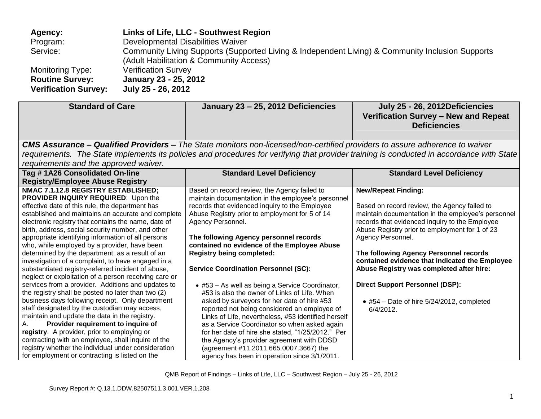| Agency:                     | Links of Life, LLC - Southwest Region                                                                                                       |
|-----------------------------|---------------------------------------------------------------------------------------------------------------------------------------------|
| Program:                    | Developmental Disabilities Waiver                                                                                                           |
| Service:                    | Community Living Supports (Supported Living & Independent Living) & Community Inclusion Supports<br>(Adult Habilitation & Community Access) |
| <b>Monitoring Type:</b>     | <b>Verification Survey</b>                                                                                                                  |
| <b>Routine Survey:</b>      | January 23 - 25, 2012                                                                                                                       |
| <b>Verification Survey:</b> | July 25 - 26, 2012                                                                                                                          |

| <b>Standard of Care</b>               | January 23 - 25, 2012 Deficiencies                                                                                                 | July 25 - 26, 2012Deficiencies                                                                                                            |
|---------------------------------------|------------------------------------------------------------------------------------------------------------------------------------|-------------------------------------------------------------------------------------------------------------------------------------------|
|                                       |                                                                                                                                    | Verification Survey - New and Repeat                                                                                                      |
|                                       |                                                                                                                                    | <b>Deficiencies</b>                                                                                                                       |
|                                       |                                                                                                                                    |                                                                                                                                           |
|                                       | <b>CMS Assurance – Qualified Providers –</b> The State monitors non-licensed/non-certified providers to assure adherence to waiver |                                                                                                                                           |
|                                       |                                                                                                                                    | requirements. The State implements its policies and procedures for verifying that provider training is conducted in accordance with State |
| requirements and the approved waiver. |                                                                                                                                    |                                                                                                                                           |

| roganomonto ana ino approvoa warvor.                  |                                                     |                                                    |
|-------------------------------------------------------|-----------------------------------------------------|----------------------------------------------------|
| Tag #1A26 Consolidated On-line                        | <b>Standard Level Deficiency</b>                    | <b>Standard Level Deficiency</b>                   |
| <b>Registry/Employee Abuse Registry</b>               |                                                     |                                                    |
| NMAC 7.1.12.8 REGISTRY ESTABLISHED;                   | Based on record review, the Agency failed to        | <b>New/Repeat Finding:</b>                         |
| PROVIDER INQUIRY REQUIRED: Upon the                   | maintain documentation in the employee's personnel  |                                                    |
| effective date of this rule, the department has       | records that evidenced inquiry to the Employee      | Based on record review, the Agency failed to       |
| established and maintains an accurate and complete    | Abuse Registry prior to employment for 5 of 14      | maintain documentation in the employee's personnel |
| electronic registry that contains the name, date of   | Agency Personnel.                                   | records that evidenced inquiry to the Employee     |
| birth, address, social security number, and other     |                                                     | Abuse Registry prior to employment for 1 of 23     |
| appropriate identifying information of all persons    | The following Agency personnel records              | Agency Personnel.                                  |
| who, while employed by a provider, have been          | contained no evidence of the Employee Abuse         |                                                    |
| determined by the department, as a result of an       | <b>Registry being completed:</b>                    | The following Agency Personnel records             |
| investigation of a complaint, to have engaged in a    |                                                     | contained evidence that indicated the Employee     |
| substantiated registry-referred incident of abuse,    | <b>Service Coordination Personnel (SC):</b>         | Abuse Registry was completed after hire:           |
| neglect or exploitation of a person receiving care or |                                                     |                                                    |
| services from a provider. Additions and updates to    | • #53 – As well as being a Service Coordinator,     | <b>Direct Support Personnel (DSP):</b>             |
| the registry shall be posted no later than two (2)    | #53 is also the owner of Links of Life. When        |                                                    |
| business days following receipt. Only department      | asked by surveyors for her date of hire #53         | $\bullet$ #54 - Date of hire 5/24/2012, completed  |
| staff designated by the custodian may access,         | reported not being considered an employee of        | $6/4/2012$ .                                       |
| maintain and update the data in the registry.         | Links of Life, nevertheless, #53 identified herself |                                                    |
| Provider requirement to inquire of<br>A.              | as a Service Coordinator so when asked again        |                                                    |
| registry. A provider, prior to employing or           | for her date of hire she stated, "1/25/2012." Per   |                                                    |
| contracting with an employee, shall inquire of the    | the Agency's provider agreement with DDSD           |                                                    |
| registry whether the individual under consideration   | (agreement #11.2011.665.0007.3667) the              |                                                    |
| for employment or contracting is listed on the        | agency has been in operation since 3/1/2011.        |                                                    |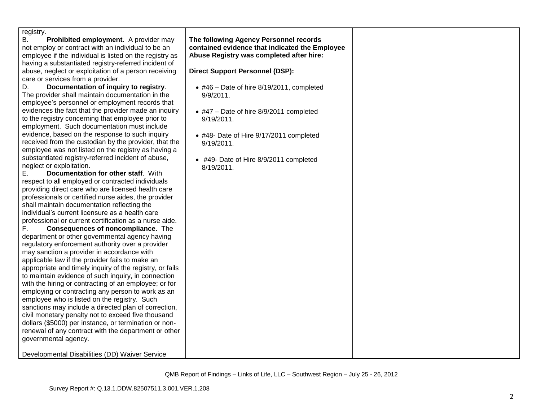| registry.<br>Prohibited employment. A provider may<br>not employ or contract with an individual to be an<br>employee if the individual is listed on the registry as<br>having a substantiated registry-referred incident of<br>abuse, neglect or exploitation of a person receiving<br>care or services from a provider.<br>Documentation of inquiry to registry.<br>The provider shall maintain documentation in the<br>employee's personnel or employment records that<br>evidences the fact that the provider made an inquiry<br>to the registry concerning that employee prior to<br>employment. Such documentation must include<br>evidence, based on the response to such inquiry<br>received from the custodian by the provider, that the<br>employee was not listed on the registry as having a<br>substantiated registry-referred incident of abuse,<br>neglect or exploitation.<br>Documentation for other staff. With<br>respect to all employed or contracted individuals<br>providing direct care who are licensed health care<br>professionals or certified nurse aides, the provider<br>shall maintain documentation reflecting the<br>individual's current licensure as a health care<br>professional or current certification as a nurse aide.<br>Consequences of noncompliance. The<br>department or other governmental agency having<br>regulatory enforcement authority over a provider<br>may sanction a provider in accordance with<br>applicable law if the provider fails to make an<br>appropriate and timely inquiry of the registry, or fails<br>to maintain evidence of such inquiry, in connection<br>with the hiring or contracting of an employee; or for<br>employing or contracting any person to work as an<br>employee who is listed on the registry. Such<br>sanctions may include a directed plan of correction,<br>civil monetary penalty not to exceed five thousand<br>dollars (\$5000) per instance, or termination or non-<br>renewal of any contract with the department or other<br>governmental agency.<br>Developmental Disabilities (DD) Waiver Service | The following Agency Personnel records<br>contained evidence that indicated the Employee<br>Abuse Registry was completed after hire:<br><b>Direct Support Personnel (DSP):</b><br>$\bullet$ #46 - Date of hire 8/19/2011, completed<br>$9/9/2011$ .<br>$\bullet$ #47 - Date of hire 8/9/2011 completed<br>9/19/2011.<br>• #48- Date of Hire 9/17/2011 completed<br>9/19/2011.<br>• #49- Date of Hire 8/9/2011 completed<br>8/19/2011. |
|--------------------------------------------------------------------------------------------------------------------------------------------------------------------------------------------------------------------------------------------------------------------------------------------------------------------------------------------------------------------------------------------------------------------------------------------------------------------------------------------------------------------------------------------------------------------------------------------------------------------------------------------------------------------------------------------------------------------------------------------------------------------------------------------------------------------------------------------------------------------------------------------------------------------------------------------------------------------------------------------------------------------------------------------------------------------------------------------------------------------------------------------------------------------------------------------------------------------------------------------------------------------------------------------------------------------------------------------------------------------------------------------------------------------------------------------------------------------------------------------------------------------------------------------------------------------------------------------------------------------------------------------------------------------------------------------------------------------------------------------------------------------------------------------------------------------------------------------------------------------------------------------------------------------------------------------------------------------------------------------------------------------------------------------------------------------------------------------------------|---------------------------------------------------------------------------------------------------------------------------------------------------------------------------------------------------------------------------------------------------------------------------------------------------------------------------------------------------------------------------------------------------------------------------------------|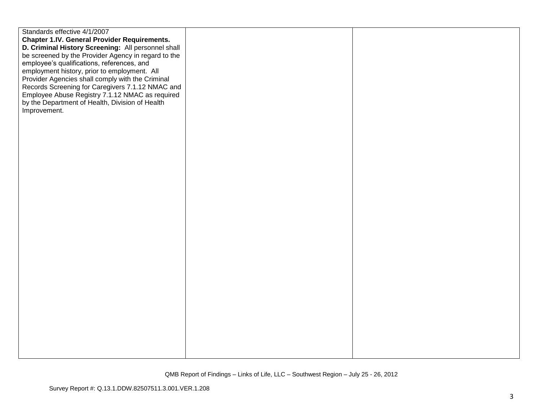| Standards effective 4/1/2007                        |  |
|-----------------------------------------------------|--|
| <b>Chapter 1.IV. General Provider Requirements.</b> |  |
| D. Criminal History Screening: All personnel shall  |  |
| be screened by the Provider Agency in regard to the |  |
| employee's qualifications, references, and          |  |
| employment history, prior to employment. All        |  |
| Provider Agencies shall comply with the Criminal    |  |
| Records Screening for Caregivers 7.1.12 NMAC and    |  |
| Employee Abuse Registry 7.1.12 NMAC as required     |  |
| by the Department of Health, Division of Health     |  |
|                                                     |  |
| Improvement.                                        |  |
|                                                     |  |
|                                                     |  |
|                                                     |  |
|                                                     |  |
|                                                     |  |
|                                                     |  |
|                                                     |  |
|                                                     |  |
|                                                     |  |
|                                                     |  |
|                                                     |  |
|                                                     |  |
|                                                     |  |
|                                                     |  |
|                                                     |  |
|                                                     |  |
|                                                     |  |
|                                                     |  |
|                                                     |  |
|                                                     |  |
|                                                     |  |
|                                                     |  |
|                                                     |  |
|                                                     |  |
|                                                     |  |
|                                                     |  |
|                                                     |  |
|                                                     |  |
|                                                     |  |
|                                                     |  |
|                                                     |  |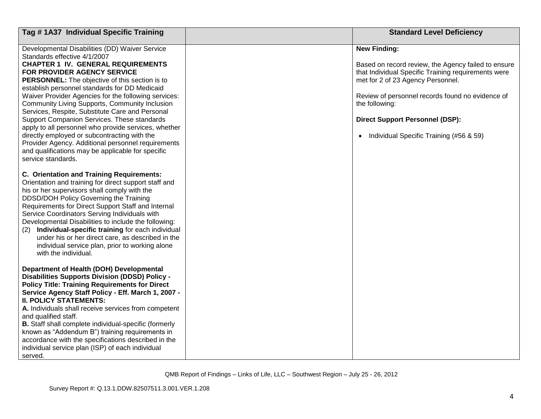| Tag #1A37 Individual Specific Training                                                                                                                                                                                                                                                                                                                                                                                                                                                                                                                                                                                                                                                                             | <b>Standard Level Deficiency</b>                                                                                                                                                                                                                                                                                                    |
|--------------------------------------------------------------------------------------------------------------------------------------------------------------------------------------------------------------------------------------------------------------------------------------------------------------------------------------------------------------------------------------------------------------------------------------------------------------------------------------------------------------------------------------------------------------------------------------------------------------------------------------------------------------------------------------------------------------------|-------------------------------------------------------------------------------------------------------------------------------------------------------------------------------------------------------------------------------------------------------------------------------------------------------------------------------------|
| Developmental Disabilities (DD) Waiver Service<br>Standards effective 4/1/2007<br><b>CHAPTER 1 IV. GENERAL REQUIREMENTS</b><br>FOR PROVIDER AGENCY SERVICE<br>PERSONNEL: The objective of this section is to<br>establish personnel standards for DD Medicaid<br>Waiver Provider Agencies for the following services:<br>Community Living Supports, Community Inclusion<br>Services, Respite, Substitute Care and Personal<br>Support Companion Services. These standards<br>apply to all personnel who provide services, whether<br>directly employed or subcontracting with the<br>Provider Agency. Additional personnel requirements<br>and qualifications may be applicable for specific<br>service standards. | <b>New Finding:</b><br>Based on record review, the Agency failed to ensure<br>that Individual Specific Training requirements were<br>met for 2 of 23 Agency Personnel.<br>Review of personnel records found no evidence of<br>the following:<br><b>Direct Support Personnel (DSP):</b><br>• Individual Specific Training (#56 & 59) |
| C. Orientation and Training Requirements:<br>Orientation and training for direct support staff and<br>his or her supervisors shall comply with the<br>DDSD/DOH Policy Governing the Training<br>Requirements for Direct Support Staff and Internal<br>Service Coordinators Serving Individuals with<br>Developmental Disabilities to include the following:<br>Individual-specific training for each individual<br>(2)<br>under his or her direct care, as described in the<br>individual service plan, prior to working alone<br>with the individual.                                                                                                                                                             |                                                                                                                                                                                                                                                                                                                                     |
| Department of Health (DOH) Developmental<br><b>Disabilities Supports Division (DDSD) Policy -</b><br><b>Policy Title: Training Requirements for Direct</b><br>Service Agency Staff Policy - Eff. March 1, 2007 -<br><b>II. POLICY STATEMENTS:</b><br>A. Individuals shall receive services from competent<br>and qualified staff.<br>B. Staff shall complete individual-specific (formerly<br>known as "Addendum B") training requirements in<br>accordance with the specifications described in the<br>individual service plan (ISP) of each individual<br>served.                                                                                                                                                |                                                                                                                                                                                                                                                                                                                                     |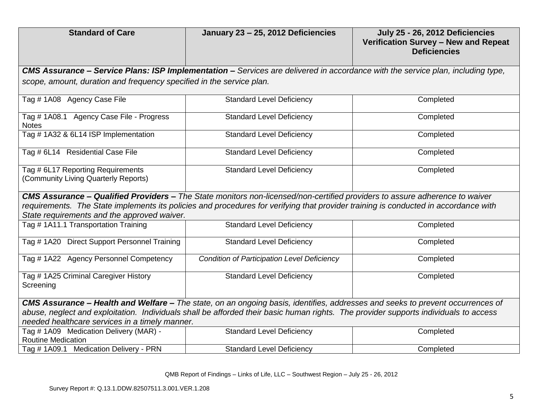| <b>Standard of Care</b>                                                                                                                                                                                                                                                                                           | January 23 - 25, 2012 Deficiencies                                                                                                     | July 25 - 26, 2012 Deficiencies<br>Verification Survey - New and Repeat<br><b>Deficiencies</b> |
|-------------------------------------------------------------------------------------------------------------------------------------------------------------------------------------------------------------------------------------------------------------------------------------------------------------------|----------------------------------------------------------------------------------------------------------------------------------------|------------------------------------------------------------------------------------------------|
|                                                                                                                                                                                                                                                                                                                   | <b>CMS Assurance – Service Plans: ISP Implementation –</b> Services are delivered in accordance with the service plan, including type, |                                                                                                |
| scope, amount, duration and frequency specified in the service plan.                                                                                                                                                                                                                                              |                                                                                                                                        |                                                                                                |
| Tag #1A08 Agency Case File                                                                                                                                                                                                                                                                                        | <b>Standard Level Deficiency</b>                                                                                                       | Completed                                                                                      |
| Tag # 1A08.1 Agency Case File - Progress<br><b>Notes</b>                                                                                                                                                                                                                                                          | <b>Standard Level Deficiency</b>                                                                                                       | Completed                                                                                      |
| Tag # 1A32 & 6L14 ISP Implementation                                                                                                                                                                                                                                                                              | <b>Standard Level Deficiency</b>                                                                                                       | Completed                                                                                      |
| Tag # 6L14 Residential Case File                                                                                                                                                                                                                                                                                  | <b>Standard Level Deficiency</b>                                                                                                       | Completed                                                                                      |
| Tag # 6L17 Reporting Requirements<br>(Community Living Quarterly Reports)                                                                                                                                                                                                                                         | <b>Standard Level Deficiency</b>                                                                                                       | Completed                                                                                      |
| CMS Assurance - Qualified Providers - The State monitors non-licensed/non-certified providers to assure adherence to waiver<br>requirements. The State implements its policies and procedures for verifying that provider training is conducted in accordance with<br>State requirements and the approved waiver. |                                                                                                                                        |                                                                                                |
| Tag # 1A11.1 Transportation Training                                                                                                                                                                                                                                                                              | <b>Standard Level Deficiency</b>                                                                                                       | Completed                                                                                      |
| Tag # 1A20 Direct Support Personnel Training                                                                                                                                                                                                                                                                      | <b>Standard Level Deficiency</b>                                                                                                       | Completed                                                                                      |
| Tag # 1A22 Agency Personnel Competency                                                                                                                                                                                                                                                                            | <b>Condition of Participation Level Deficiency</b>                                                                                     | Completed                                                                                      |
| Tag # 1A25 Criminal Caregiver History<br>Screening                                                                                                                                                                                                                                                                | <b>Standard Level Deficiency</b>                                                                                                       | Completed                                                                                      |
| CMS Assurance - Health and Welfare - The state, on an ongoing basis, identifies, addresses and seeks to prevent occurrences of                                                                                                                                                                                    |                                                                                                                                        |                                                                                                |
| abuse, neglect and exploitation. Individuals shall be afforded their basic human rights. The provider supports individuals to access<br>needed healthcare services in a timely manner.                                                                                                                            |                                                                                                                                        |                                                                                                |
| Tag # 1A09 Medication Delivery (MAR) -<br><b>Routine Medication</b>                                                                                                                                                                                                                                               | <b>Standard Level Deficiency</b>                                                                                                       | Completed                                                                                      |
| Tag # 1A09.1 Medication Delivery - PRN                                                                                                                                                                                                                                                                            | <b>Standard Level Deficiency</b>                                                                                                       | Completed                                                                                      |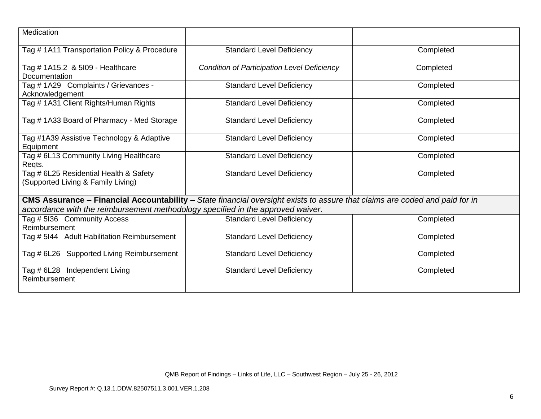| Medication                                                                      |                                                                                                                             |           |
|---------------------------------------------------------------------------------|-----------------------------------------------------------------------------------------------------------------------------|-----------|
| Tag # 1A11 Transportation Policy & Procedure                                    | <b>Standard Level Deficiency</b>                                                                                            | Completed |
| Tag # 1A15.2 & 5l09 - Healthcare<br>Documentation                               | <b>Condition of Participation Level Deficiency</b>                                                                          | Completed |
| Tag # 1A29 Complaints / Grievances -<br>Acknowledgement                         | <b>Standard Level Deficiency</b>                                                                                            | Completed |
| Tag # 1A31 Client Rights/Human Rights                                           | <b>Standard Level Deficiency</b>                                                                                            | Completed |
| Tag #1A33 Board of Pharmacy - Med Storage                                       | <b>Standard Level Deficiency</b>                                                                                            | Completed |
| Tag #1A39 Assistive Technology & Adaptive<br>Equipment                          | <b>Standard Level Deficiency</b>                                                                                            | Completed |
| Tag # 6L13 Community Living Healthcare<br>Regts.                                | <b>Standard Level Deficiency</b>                                                                                            | Completed |
| Tag # 6L25 Residential Health & Safety<br>(Supported Living & Family Living)    | <b>Standard Level Deficiency</b>                                                                                            | Completed |
|                                                                                 | CMS Assurance - Financial Accountability - State financial oversight exists to assure that claims are coded and paid for in |           |
| accordance with the reimbursement methodology specified in the approved waiver. |                                                                                                                             |           |
| Tag # 5136 Community Access<br>Reimbursement                                    | <b>Standard Level Deficiency</b>                                                                                            | Completed |
| Tag # 5I44 Adult Habilitation Reimbursement                                     | <b>Standard Level Deficiency</b>                                                                                            | Completed |
| Tag # 6L26 Supported Living Reimbursement                                       | <b>Standard Level Deficiency</b>                                                                                            | Completed |
| Tag # 6L28 Independent Living<br>Reimbursement                                  | <b>Standard Level Deficiency</b>                                                                                            | Completed |